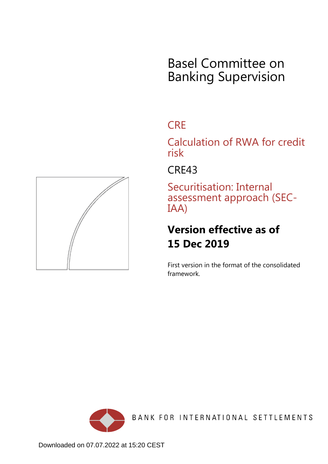## Basel Committee on Banking Supervision

## **CRE**

Calculation of RWA for credit risk

CRE43

Securitisation: Internal assessment approach (SEC-IAA)

## **Version effective as of 15 Dec 2019**

First version in the format of the consolidated framework.



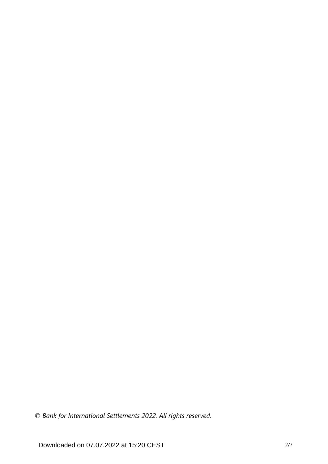*© Bank for International Settlements 2022. All rights reserved.*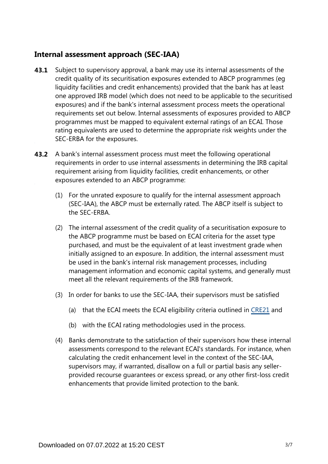## **Internal assessment approach (SEC-IAA)**

- Subject to supervisory approval, a bank may use its internal assessments of the credit quality of its securitisation exposures extended to ABCP programmes (eg liquidity facilities and credit enhancements) provided that the bank has at least one approved IRB model (which does not need to be applicable to the securitised exposures) and if the bank's internal assessment process meets the operational requirements set out below. Internal assessments of exposures provided to ABCP programmes must be mapped to equivalent external ratings of an ECAI. Those rating equivalents are used to determine the appropriate risk weights under the SEC-ERBA for the exposures. **43.1**
- **43.2** A bank's internal assessment process must meet the following operational requirements in order to use internal assessments in determining the IRB capital requirement arising from liquidity facilities, credit enhancements, or other exposures extended to an ABCP programme:
	- (1) For the unrated exposure to qualify for the internal assessment approach (SEC-IAA), the ABCP must be externally rated. The ABCP itself is subject to the SEC-ERBA.
	- (2) The internal assessment of the credit quality of a securitisation exposure to the ABCP programme must be based on ECAI criteria for the asset type purchased, and must be the equivalent of at least investment grade when initially assigned to an exposure. In addition, the internal assessment must be used in the bank's internal risk management processes, including management information and economic capital systems, and generally must meet all the relevant requirements of the IRB framework.
	- (3) In order for banks to use the SEC-IAA, their supervisors must be satisfied
		- (a) that the ECAI meets the ECAI eligibility criteria outlined in [CRE21](https://www.bis.org/basel_framework/chapter/CRE/21.htm?tldate=20230101&inforce=20230101&published=20200327) and
		- (b) with the ECAI rating methodologies used in the process.
	- (4) Banks demonstrate to the satisfaction of their supervisors how these internal assessments correspond to the relevant ECAI's standards. For instance, when calculating the credit enhancement level in the context of the SEC-IAA, supervisors may, if warranted, disallow on a full or partial basis any sellerprovided recourse guarantees or excess spread, or any other first-loss credit enhancements that provide limited protection to the bank.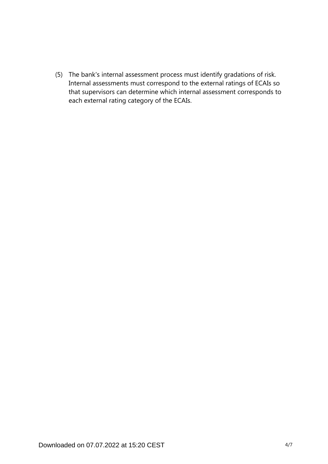(5) The bank's internal assessment process must identify gradations of risk. Internal assessments must correspond to the external ratings of ECAIs so that supervisors can determine which internal assessment corresponds to each external rating category of the ECAIs.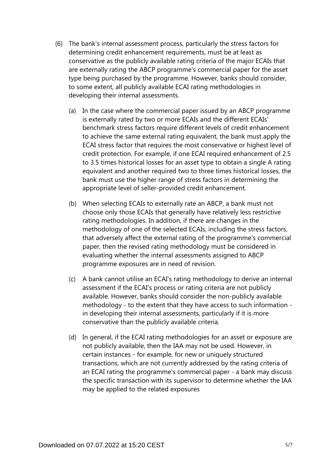- (6) The bank's internal assessment process, particularly the stress factors for determining credit enhancement requirements, must be at least as conservative as the publicly available rating criteria of the major ECAIs that are externally rating the ABCP programme's commercial paper for the asset type being purchased by the programme. However, banks should consider, to some extent, all publicly available ECAI rating methodologies in developing their internal assessments.
	- (a) In the case where the commercial paper issued by an ABCP programme is externally rated by two or more ECAIs and the different ECAIs' benchmark stress factors require different levels of credit enhancement to achieve the same external rating equivalent, the bank must apply the ECAI stress factor that requires the most conservative or highest level of credit protection. For example, if one ECAI required enhancement of 2.5 to 3.5 times historical losses for an asset type to obtain a single A rating equivalent and another required two to three times historical losses, the bank must use the higher range of stress factors in determining the appropriate level of seller-provided credit enhancement.
	- (b) When selecting ECAIs to externally rate an ABCP, a bank must not choose only those ECAIs that generally have relatively less restrictive rating methodologies. In addition, if there are changes in the methodology of one of the selected ECAIs, including the stress factors, that adversely affect the external rating of the programme's commercial paper, then the revised rating methodology must be considered in evaluating whether the internal assessments assigned to ABCP programme exposures are in need of revision.
	- (c) A bank cannot utilise an ECAI's rating methodology to derive an internal assessment if the ECAI's process or rating criteria are not publicly available. However, banks should consider the non-publicly available methodology - to the extent that they have access to such information in developing their internal assessments, particularly if it is more conservative than the publicly available criteria.
	- (d) In general, if the ECAI rating methodologies for an asset or exposure are not publicly available, then the IAA may not be used. However, in certain instances - for example, for new or uniquely structured transactions, which are not currently addressed by the rating criteria of an ECAI rating the programme's commercial paper - a bank may discuss the specific transaction with its supervisor to determine whether the IAA may be applied to the related exposures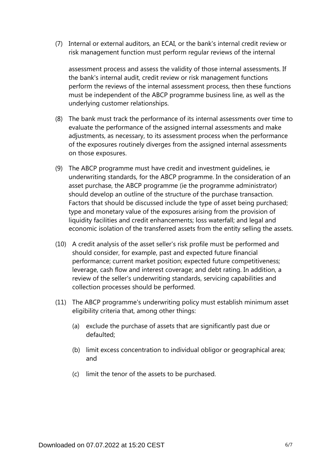(7) Internal or external auditors, an ECAI, or the bank's internal credit review or risk management function must perform regular reviews of the internal

assessment process and assess the validity of those internal assessments. If the bank's internal audit, credit review or risk management functions perform the reviews of the internal assessment process, then these functions must be independent of the ABCP programme business line, as well as the underlying customer relationships.

- (8) The bank must track the performance of its internal assessments over time to evaluate the performance of the assigned internal assessments and make adjustments, as necessary, to its assessment process when the performance of the exposures routinely diverges from the assigned internal assessments on those exposures.
- (9) The ABCP programme must have credit and investment guidelines, ie underwriting standards, for the ABCP programme. In the consideration of an asset purchase, the ABCP programme (ie the programme administrator) should develop an outline of the structure of the purchase transaction. Factors that should be discussed include the type of asset being purchased; type and monetary value of the exposures arising from the provision of liquidity facilities and credit enhancements; loss waterfall; and legal and economic isolation of the transferred assets from the entity selling the assets.
- (10) A credit analysis of the asset seller's risk profile must be performed and should consider, for example, past and expected future financial performance; current market position; expected future competitiveness; leverage, cash flow and interest coverage; and debt rating. In addition, a review of the seller's underwriting standards, servicing capabilities and collection processes should be performed.
- (11) The ABCP programme's underwriting policy must establish minimum asset eligibility criteria that, among other things:
	- (a) exclude the purchase of assets that are significantly past due or defaulted;
	- (b) limit excess concentration to individual obligor or geographical area; and
	- (c) limit the tenor of the assets to be purchased.